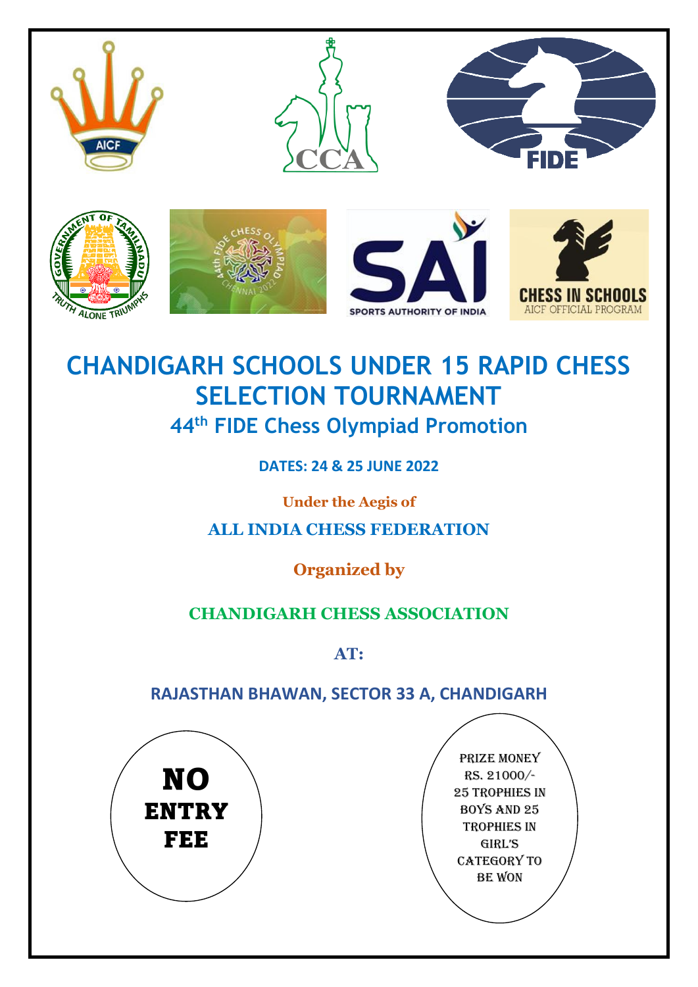

# **CHANDIGARH SCHOOLS UNDER 15 RAPID CHESS SELECTION TOURNAMENT 44th FIDE Chess Olympiad Promotion**

**DATES: 24 & 25 JUNE 2022**

**Under the Aegis of**

**ALL INDIA CHESS FEDERATION** 

**Organized by**

## **CHANDIGARH CHESS ASSOCIATION**

**AT:**

## **RAJASTHAN BHAWAN, SECTOR 33 A, CHANDIGARH**

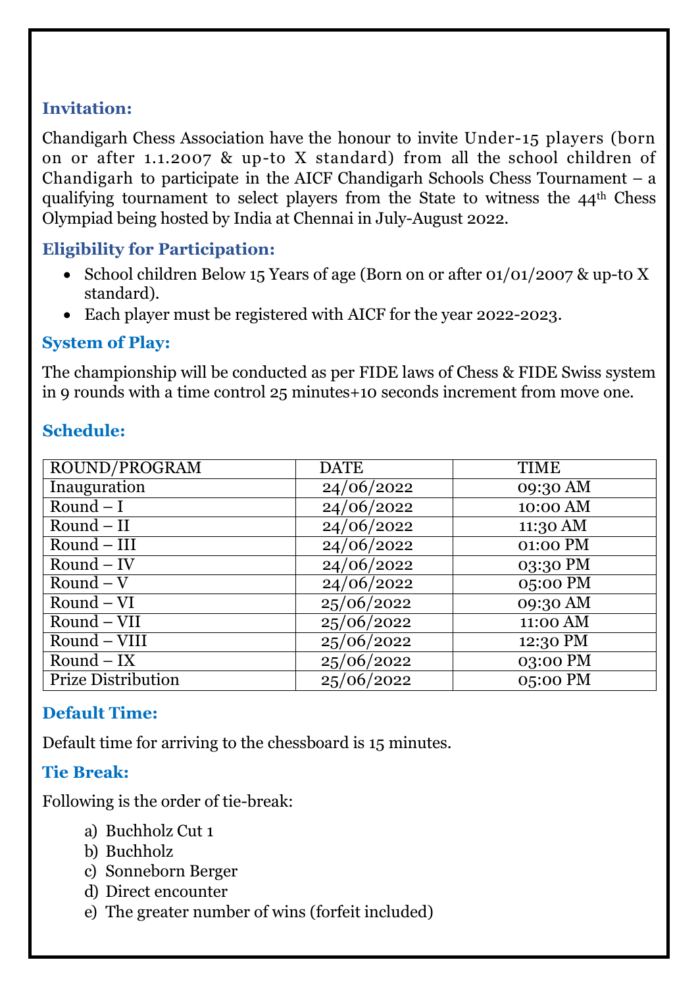## **Invitation:**

Chandigarh Chess Association have the honour to invite Under-15 players (born on or after 1.1.2007 & up-to X standard) from all the school children of Chandigarh to participate in the AICF Chandigarh Schools Chess Tournament  $-$  a qualifying tournament to select players from the State to witness the 44th Chess Olympiad being hosted by India at Chennai in July-August 2022.

## **Eligibility for Participation:**

- School children Below 15 Years of age (Born on or after 01/01/2007 & up-to X standard).
- Each player must be registered with AICF for the year 2022-2023.

#### **System of Play:**

The championship will be conducted as per FIDE laws of Chess & FIDE Swiss system in 9 rounds with a time control 25 minutes+10 seconds increment from move one.

## **Schedule:**

| ROUND/PROGRAM             | <b>DATE</b> | <b>TIME</b> |
|---------------------------|-------------|-------------|
| Inauguration              | 24/06/2022  | 09:30 AM    |
| $Round-I$                 | 24/06/2022  | 10:00 AM    |
| $Round - II$              | 24/06/2022  | 11:30 AM    |
| $Round - III$             | 24/06/2022  | 01:00 PM    |
| $Round - IV$              | 24/06/2022  | 03:30 PM    |
| Round $-\overline{V}$     | 24/06/2022  | 05:00 PM    |
| $Round - VI$              | 25/06/2022  | 09:30 AM    |
| $Round - VII$             | 25/06/2022  | 11:00 AM    |
| Round - VIII              | 25/06/2022  | 12:30 PM    |
| $Round - IX$              | 25/06/2022  | 03:00 PM    |
| <b>Prize Distribution</b> | 25/06/2022  | 05:00 PM    |

#### **Default Time:**

Default time for arriving to the chessboard is 15 minutes.

## **Tie Break:**

Following is the order of tie-break:

- a) Buchholz Cut 1
- b) Buchholz
- c) Sonneborn Berger
- d) Direct encounter
- e) The greater number of wins (forfeit included)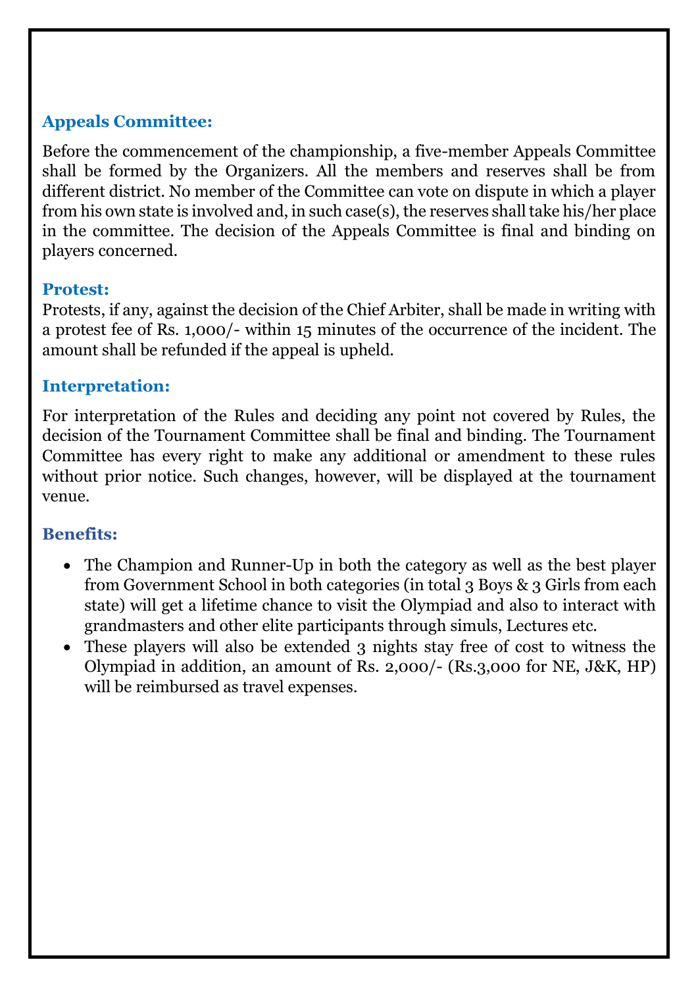## **Appeals Committee:**

Before the commencement of the championship, a five-member Appeals Committee shall be formed by the Organizers. All the members and reserves shall be from different district. No member of the Committee can vote on dispute in which a player from his own state is involved and, in such case(s), the reserves shall take his/her place in the committee. The decision of the Appeals Committee is final and binding on players concerned.

#### **Protest:**

Protests, if any, against the decision of the Chief Arbiter, shall be made in writing with a protest fee of Rs. 1,000/- within 15 minutes of the occurrence of the incident. The amount shall be refunded if the appeal is upheld.

#### **Interpretation:**

For interpretation of the Rules and deciding any point not covered by Rules, the decision of the Tournament Committee shall be final and binding. The Tournament Committee has every right to make any additional or amendment to these rules without prior notice. Such changes, however, will be displayed at the tournament venue.

## **Benefits:**

- The Champion and Runner-Up in both the category as well as the best player from Government School in both categories (in total 3 Boys & 3 Girls from each state) will get a lifetime chance to visit the Olympiad and also to interact with grandmasters and other elite participants through simuls, Lectures etc.
- These players will also be extended 3 nights stay free of cost to witness the Olympiad in addition, an amount of Rs. 2,000/- (Rs.3,000 for NE, J&K, HP) will be reimbursed as travel expenses.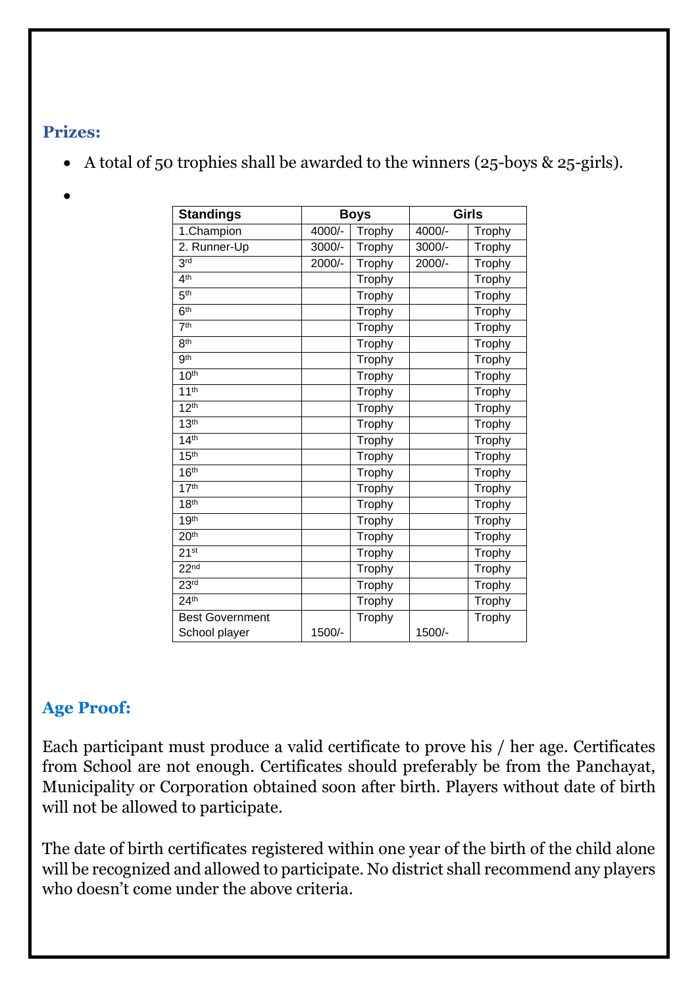#### **Prizes:**

- A total of 50 trophies shall be awarded to the winners (25-boys & 25-girls).
- •

| <b>Standings</b>       | <b>Boys</b> |               | <b>Girls</b> |               |
|------------------------|-------------|---------------|--------------|---------------|
| 1.Champion             | 4000/-      | Trophy        | 4000/-       | Trophy        |
| 2. Runner-Up           | 3000/-      | Trophy        | 3000/-       | Trophy        |
| 3 <sub>rd</sub>        | 2000/-      | Trophy        | $2000/-$     | <b>Trophy</b> |
| 4 <sup>th</sup>        |             | Trophy        |              | Trophy        |
| 5 <sup>th</sup>        |             | Trophy        |              | Trophy        |
| 6 <sup>th</sup>        |             | Trophy        |              | Trophy        |
| 7 <sup>th</sup>        |             | Trophy        |              | Trophy        |
| 8 <sup>th</sup>        |             | <b>Trophy</b> |              | Trophy        |
| 9 <sup>th</sup>        |             | Trophy        |              | Trophy        |
| 10 <sup>th</sup>       |             | Trophy        |              | Trophy        |
| 11 <sup>th</sup>       |             | Trophy        |              | <b>Trophy</b> |
| 12 <sup>th</sup>       |             | Trophy        |              | Trophy        |
| 13 <sup>th</sup>       |             | Trophy        |              | Trophy        |
| 14 <sup>th</sup>       |             | Trophy        |              | Trophy        |
| 15 <sup>th</sup>       |             | Trophy        |              | Trophy        |
| 16 <sup>th</sup>       |             | Trophy        |              | Trophy        |
| 17 <sup>th</sup>       |             | Trophy        |              | Trophy        |
| 18 <sup>th</sup>       |             | Trophy        |              | Trophy        |
| 19 <sup>th</sup>       |             | Trophy        |              | Trophy        |
| 20 <sup>th</sup>       |             | Trophy        |              | Trophy        |
| 21 <sup>st</sup>       |             | Trophy        |              | Trophy        |
| 22 <sub>nd</sub>       |             | Trophy        |              | Trophy        |
| 23 <sup>rd</sup>       |             | Trophy        |              | Trophy        |
| 24 <sup>th</sup>       |             | Trophy        |              | Trophy        |
| <b>Best Government</b> |             | Trophy        |              | Trophy        |
| School player          | 1500/-      |               | 1500/-       |               |

## **Age Proof:**

Each participant must produce a valid certificate to prove his / her age. Certificates from School are not enough. Certificates should preferably be from the Panchayat, Municipality or Corporation obtained soon after birth. Players without date of birth will not be allowed to participate.

The date of birth certificates registered within one year of the birth of the child alone will be recognized and allowed to participate. No district shall recommend any players who doesn't come under the above criteria.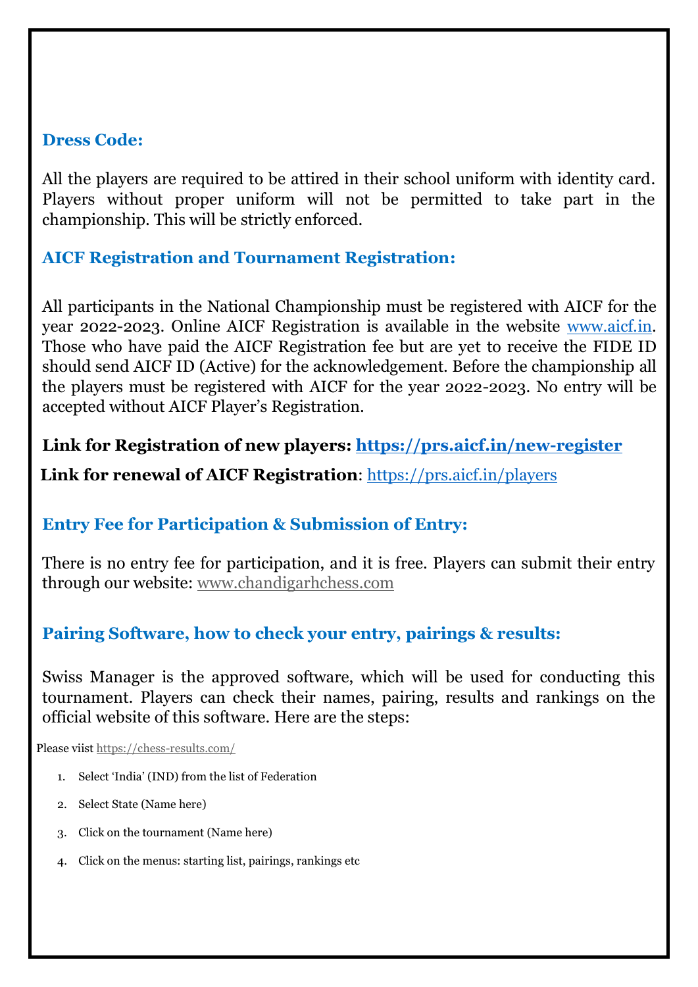#### **Dress Code:**

All the players are required to be attired in their school uniform with identity card. Players without proper uniform will not be permitted to take part in the championship. This will be strictly enforced.

## **AICF Registration and Tournament Registration:**

All participants in the National Championship must be registered with AICF for the year 2022-2023. Online AICF Registration is available in the website [www.aicf.in.](http://www.aicf.in/) Those who have paid the AICF Registration fee but are yet to receive the FIDE ID should send AICF ID (Active) for the acknowledgement. Before the championship all the players must be registered with AICF for the year 2022-2023. No entry will be accepted without AICF Player's Registration.

#### **Link for Registration of new players:<https://prs.aicf.in/new-register>**

**Link for renewal of AICF Registration**:<https://prs.aicf.in/players>

## **Entry Fee for Participation & Submission of Entry:**

There is no entry fee for participation, and it is free. Players can submit their entry through our website: [www.chandigarhchess.com](http://www.chandigarhchess.com/)

#### **Pairing Software, how to check your entry, pairings & results:**

Swiss Manager is the approved software, which will be used for conducting this tournament. Players can check their names, pairing, results and rankings on the official website of this software. Here are the steps:

Please viist<https://chess-results.com/>

- 1. Select 'India' (IND) from the list of Federation
- 2. Select State (Name here)
- 3. Click on the tournament (Name here)
- 4. Click on the menus: starting list, pairings, rankings etc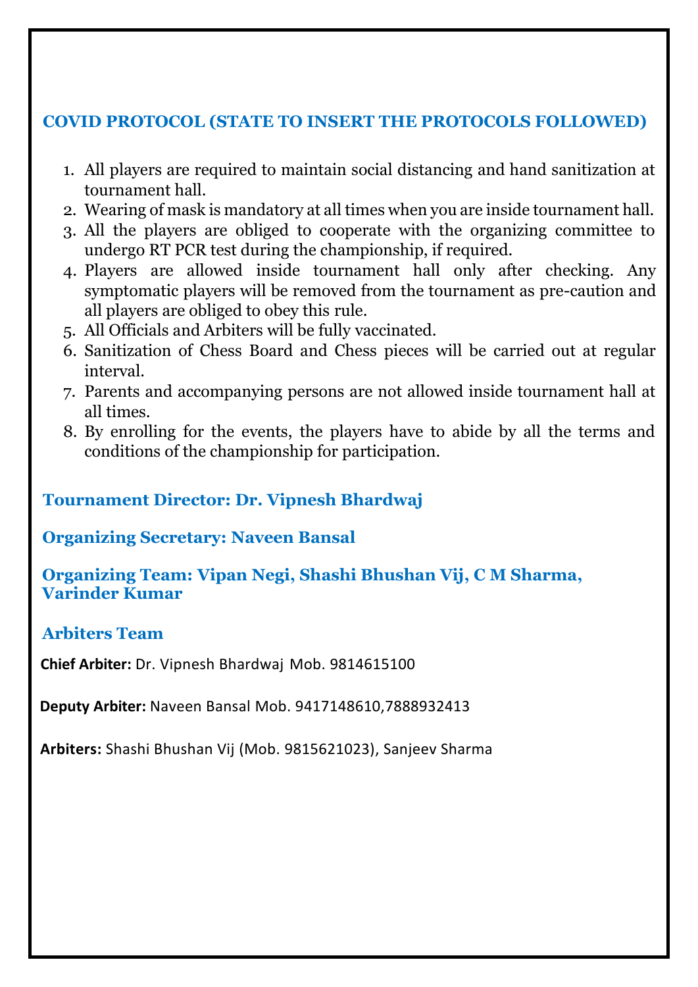#### **COVID PROTOCOL (STATE TO INSERT THE PROTOCOLS FOLLOWED)**

- 1. All players are required to maintain social distancing and hand sanitization at tournament hall.
- 2. Wearing of mask is mandatory at all times when you are inside tournament hall.
- 3. All the players are obliged to cooperate with the organizing committee to undergo RT PCR test during the championship, if required.
- 4. Players are allowed inside tournament hall only after checking. Any symptomatic players will be removed from the tournament as pre-caution and all players are obliged to obey this rule.
- 5. All Officials and Arbiters will be fully vaccinated.
- 6. Sanitization of Chess Board and Chess pieces will be carried out at regular interval.
- 7. Parents and accompanying persons are not allowed inside tournament hall at all times.
- 8. By enrolling for the events, the players have to abide by all the terms and conditions of the championship for participation.

### **Tournament Director: Dr. Vipnesh Bhardwaj**

#### **Organizing Secretary: Naveen Bansal**

#### **Organizing Team: Vipan Negi, Shashi Bhushan Vij, C M Sharma, Varinder Kumar**

#### **Arbiters Team**

**Chief Arbiter:** Dr. Vipnesh Bhardwaj Mob. 9814615100

**Deputy Arbiter:** Naveen Bansal Mob. 9417148610,7888932413

**Arbiters:** Shashi Bhushan Vij (Mob. 9815621023), Sanjeev Sharma